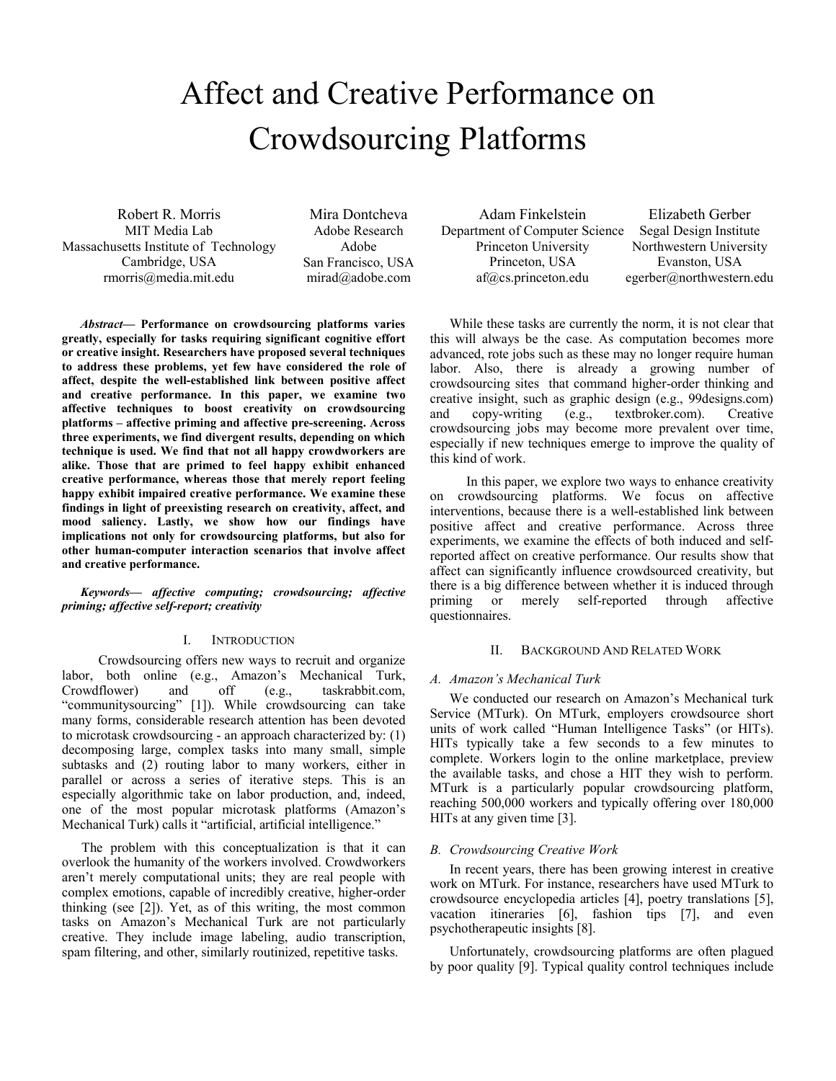# Affect and Creative Performance on Crowdsourcing Platforms

Robert R. Morris MIT Media Lab Massachusetts Institute of Technology Cambridge, USA rmorris@media.mit.edu

Mira Dontcheva Adobe Research Adobe San Francisco, USA mirad@adobe.com

*Abstract***— Performance on crowdsourcing platforms varies greatly, especially for tasks requiring significant cognitive effort or creative insight. Researchers have proposed several techniques to address these problems, yet few have considered the role of affect, despite the well-established link between positive affect and creative performance. In this paper, we examine two affective techniques to boost creativity on crowdsourcing platforms – affective priming and affective pre-screening. Across three experiments, we find divergent results, depending on which technique is used. We find that not all happy crowdworkers are alike. Those that are primed to feel happy exhibit enhanced creative performance, whereas those that merely report feeling happy exhibit impaired creative performance. We examine these findings in light of preexisting research on creativity, affect, and mood saliency. Lastly, we show how our findings have implications not only for crowdsourcing platforms, but also for other human-computer interaction scenarios that involve affect and creative performance.** 

*Keywords— affective computing; crowdsourcing; affective priming; affective self-report; creativity* 

## I. INTRODUCTION

 Crowdsourcing offers new ways to recruit and organize labor, both online (e.g., Amazon's Mechanical Turk, Crowdflower) and off (e.g., taskrabbit.com, "communitysourcing" [1]). While crowdsourcing can take many forms, considerable research attention has been devoted to microtask crowdsourcing - an approach characterized by: (1) decomposing large, complex tasks into many small, simple subtasks and (2) routing labor to many workers, either in parallel or across a series of iterative steps. This is an especially algorithmic take on labor production, and, indeed, one of the most popular microtask platforms (Amazon's Mechanical Turk) calls it "artificial, artificial intelligence."

The problem with this conceptualization is that it can overlook the humanity of the workers involved. Crowdworkers aren't merely computational units; they are real people with complex emotions, capable of incredibly creative, higher-order thinking (see [2]). Yet, as of this writing, the most common tasks on Amazon's Mechanical Turk are not particularly creative. They include image labeling, audio transcription, spam filtering, and other, similarly routinized, repetitive tasks.

Adam Finkelstein Department of Computer Science Princeton University Princeton, USA af@cs.princeton.edu

Elizabeth Gerber Segal Design Institute Northwestern University Evanston, USA egerber@northwestern.edu

While these tasks are currently the norm, it is not clear that this will always be the case. As computation becomes more advanced, rote jobs such as these may no longer require human labor. Also, there is already a growing number of crowdsourcing sites that command higher-order thinking and creative insight, such as graphic design (e.g., 99designs.com) and copy-writing (e.g., textbroker.com). Creative crowdsourcing jobs may become more prevalent over time, especially if new techniques emerge to improve the quality of this kind of work.

 In this paper, we explore two ways to enhance creativity on crowdsourcing platforms. We focus on affective interventions, because there is a well-established link between positive affect and creative performance. Across three experiments, we examine the effects of both induced and selfreported affect on creative performance. Our results show that affect can significantly influence crowdsourced creativity, but there is a big difference between whether it is induced through priming or merely self-reported through affective questionnaires.

## II. BACKGROUND AND RELATED WORK

## *A. Amazon's Mechanical Turk*

We conducted our research on Amazon's Mechanical turk Service (MTurk). On MTurk, employers crowdsource short units of work called "Human Intelligence Tasks" (or HITs). HITs typically take a few seconds to a few minutes to complete. Workers login to the online marketplace, preview the available tasks, and chose a HIT they wish to perform. MTurk is a particularly popular crowdsourcing platform, reaching 500,000 workers and typically offering over 180,000 HITs at any given time [3].

## *B. Crowdsourcing Creative Work*

In recent years, there has been growing interest in creative work on MTurk. For instance, researchers have used MTurk to crowdsource encyclopedia articles [4], poetry translations [5], vacation itineraries [6], fashion tips [7], and even psychotherapeutic insights [8].

Unfortunately, crowdsourcing platforms are often plagued by poor quality [9]. Typical quality control techniques include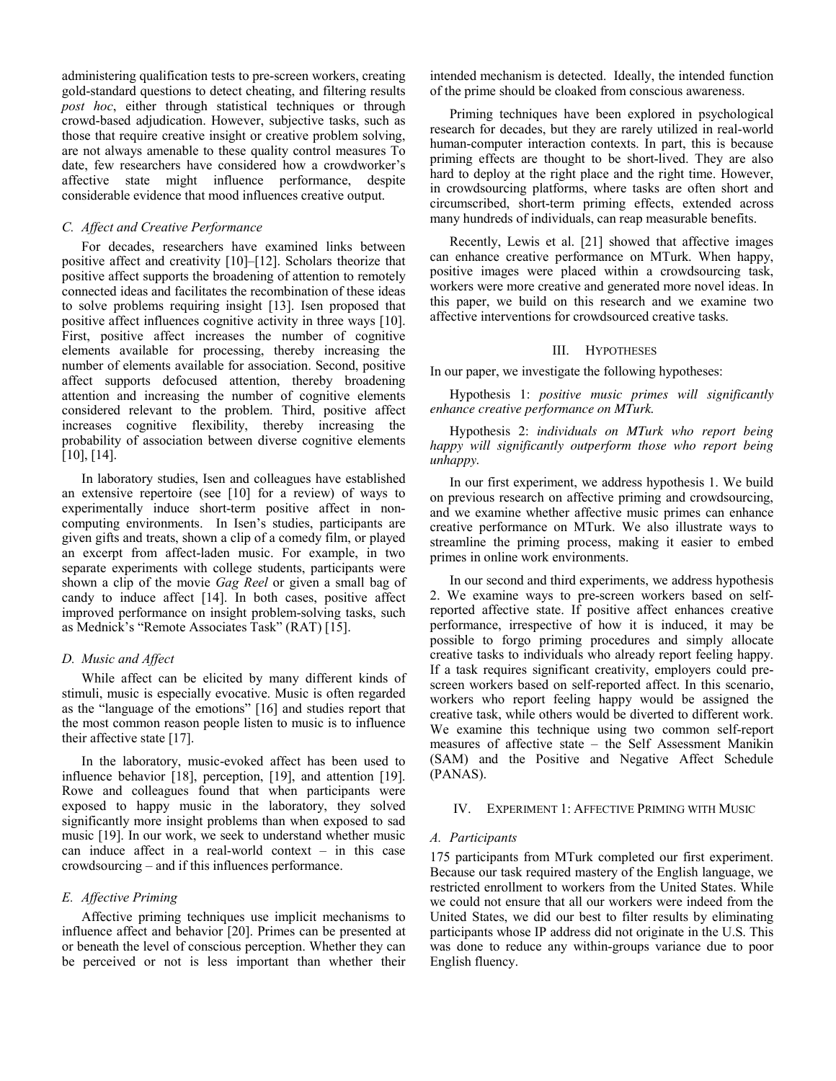administering qualification tests to pre-screen workers, creating gold-standard questions to detect cheating, and filtering results *post hoc*, either through statistical techniques or through crowd-based adjudication. However, subjective tasks, such as those that require creative insight or creative problem solving, are not always amenable to these quality control measures To date, few researchers have considered how a crowdworker's affective state might influence performance, despite considerable evidence that mood influences creative output.

## *C. Affect and Creative Performance*

For decades, researchers have examined links between positive affect and creativity [10]–[12]. Scholars theorize that positive affect supports the broadening of attention to remotely connected ideas and facilitates the recombination of these ideas to solve problems requiring insight [13]. Isen proposed that positive affect influences cognitive activity in three ways [10]. First, positive affect increases the number of cognitive elements available for processing, thereby increasing the number of elements available for association. Second, positive affect supports defocused attention, thereby broadening attention and increasing the number of cognitive elements considered relevant to the problem. Third, positive affect increases cognitive flexibility, thereby increasing the probability of association between diverse cognitive elements  $[10]$ ,  $[14]$ .

In laboratory studies, Isen and colleagues have established an extensive repertoire (see [10] for a review) of ways to experimentally induce short-term positive affect in noncomputing environments. In Isen's studies, participants are given gifts and treats, shown a clip of a comedy film, or played an excerpt from affect-laden music. For example, in two separate experiments with college students, participants were shown a clip of the movie *Gag Reel* or given a small bag of candy to induce affect [14]. In both cases, positive affect improved performance on insight problem-solving tasks, such as Mednick's "Remote Associates Task" (RAT) [15].

## *D. Music and Affect*

While affect can be elicited by many different kinds of stimuli, music is especially evocative. Music is often regarded as the "language of the emotions" [16] and studies report that the most common reason people listen to music is to influence their affective state [17].

In the laboratory, music-evoked affect has been used to influence behavior [18], perception, [19], and attention [19]. Rowe and colleagues found that when participants were exposed to happy music in the laboratory, they solved significantly more insight problems than when exposed to sad music [19]. In our work, we seek to understand whether music can induce affect in a real-world context – in this case crowdsourcing – and if this influences performance.

# *E. Affective Priming*

Affective priming techniques use implicit mechanisms to influence affect and behavior [20]. Primes can be presented at or beneath the level of conscious perception. Whether they can be perceived or not is less important than whether their intended mechanism is detected. Ideally, the intended function of the prime should be cloaked from conscious awareness.

Priming techniques have been explored in psychological research for decades, but they are rarely utilized in real-world human-computer interaction contexts. In part, this is because priming effects are thought to be short-lived. They are also hard to deploy at the right place and the right time. However, in crowdsourcing platforms, where tasks are often short and circumscribed, short-term priming effects, extended across many hundreds of individuals, can reap measurable benefits.

Recently, Lewis et al. [21] showed that affective images can enhance creative performance on MTurk. When happy, positive images were placed within a crowdsourcing task, workers were more creative and generated more novel ideas. In this paper, we build on this research and we examine two affective interventions for crowdsourced creative tasks.

# III. HYPOTHESES

In our paper, we investigate the following hypotheses:

Hypothesis 1: *positive music primes will significantly enhance creative performance on MTurk.* 

Hypothesis 2: *individuals on MTurk who report being happy will significantly outperform those who report being unhappy.* 

In our first experiment, we address hypothesis 1. We build on previous research on affective priming and crowdsourcing, and we examine whether affective music primes can enhance creative performance on MTurk. We also illustrate ways to streamline the priming process, making it easier to embed primes in online work environments.

In our second and third experiments, we address hypothesis 2. We examine ways to pre-screen workers based on selfreported affective state. If positive affect enhances creative performance, irrespective of how it is induced, it may be possible to forgo priming procedures and simply allocate creative tasks to individuals who already report feeling happy. If a task requires significant creativity, employers could prescreen workers based on self-reported affect. In this scenario, workers who report feeling happy would be assigned the creative task, while others would be diverted to different work. We examine this technique using two common self-report measures of affective state – the Self Assessment Manikin (SAM) and the Positive and Negative Affect Schedule (PANAS).

## IV. EXPERIMENT 1: AFFECTIVE PRIMING WITH MUSIC

# *A. Participants*

175 participants from MTurk completed our first experiment. Because our task required mastery of the English language, we restricted enrollment to workers from the United States. While we could not ensure that all our workers were indeed from the United States, we did our best to filter results by eliminating participants whose IP address did not originate in the U.S. This was done to reduce any within-groups variance due to poor English fluency.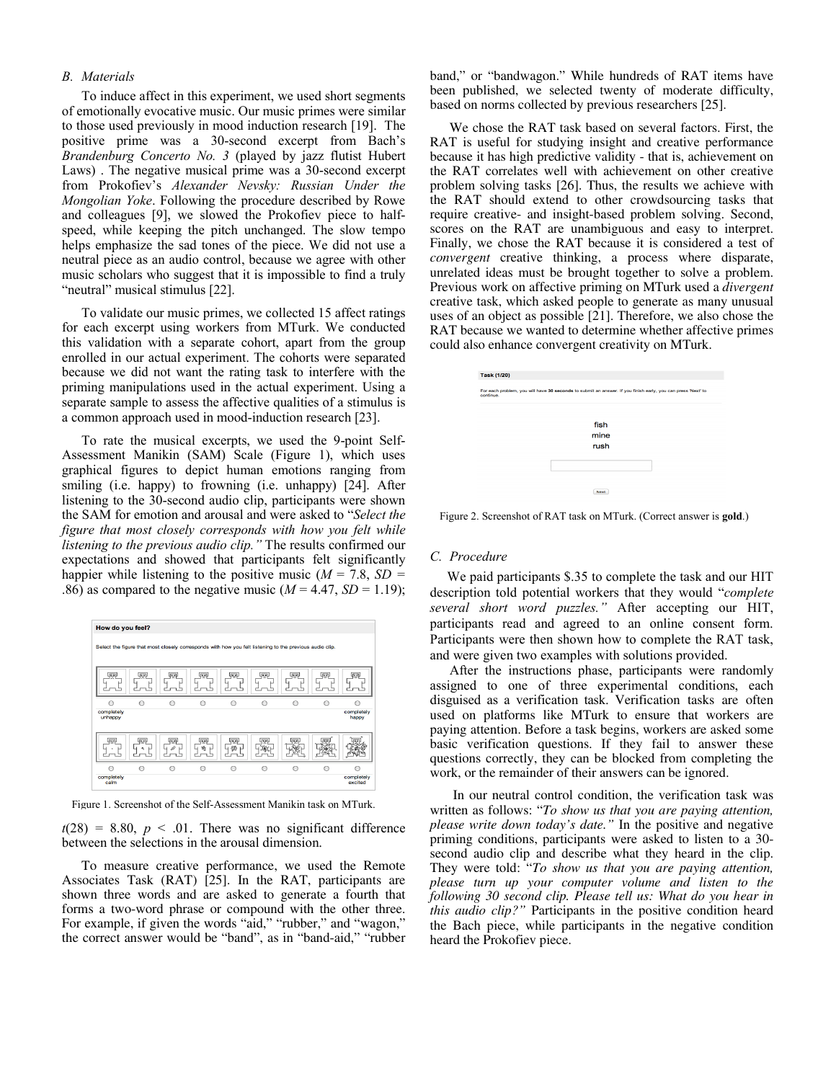# *B. Materials*

To induce affect in this experiment, we used short segments of emotionally evocative music. Our music primes were similar to those used previously in mood induction research [19]. The positive prime was a 30-second excerpt from Bach's *Brandenburg Concerto No. 3* (played by jazz flutist Hubert Laws) . The negative musical prime was a 30-second excerpt from Prokofiev's *Alexander Nevsky: Russian Under the Mongolian Yoke*. Following the procedure described by Rowe and colleagues [9], we slowed the Prokofiev piece to halfspeed, while keeping the pitch unchanged. The slow tempo helps emphasize the sad tones of the piece. We did not use a neutral piece as an audio control, because we agree with other music scholars who suggest that it is impossible to find a truly "neutral" musical stimulus [22].

To validate our music primes, we collected 15 affect ratings for each excerpt using workers from MTurk. We conducted this validation with a separate cohort, apart from the group enrolled in our actual experiment. The cohorts were separated because we did not want the rating task to interfere with the priming manipulations used in the actual experiment. Using a separate sample to assess the affective qualities of a stimulus is a common approach used in mood-induction research [23].

To rate the musical excerpts, we used the 9-point Self-Assessment Manikin (SAM) Scale (Figure 1), which uses graphical figures to depict human emotions ranging from smiling (i.e. happy) to frowning (i.e. unhappy) [24]. After listening to the 30-second audio clip, participants were shown the SAM for emotion and arousal and were asked to "*Select the figure that most closely corresponds with how you felt while listening to the previous audio clip."* The results confirmed our expectations and showed that participants felt significantly happier while listening to the positive music (*M* = 7.8, *SD =* .86) as compared to the negative music  $(M = 4.47, SD = 1.19)$ ;



Figure 1. Screenshot of the Self-Assessment Manikin task on MTurk.

 $t(28) = 8.80$ ,  $p < .01$ . There was no significant difference between the selections in the arousal dimension.

To measure creative performance, we used the Remote Associates Task (RAT) [25]. In the RAT, participants are shown three words and are asked to generate a fourth that forms a two-word phrase or compound with the other three. For example, if given the words "aid," "rubber," and "wagon," the correct answer would be "band", as in "band-aid," "rubber

band," or "bandwagon." While hundreds of RAT items have been published, we selected twenty of moderate difficulty, based on norms collected by previous researchers [25].

We chose the RAT task based on several factors. First, the RAT is useful for studying insight and creative performance because it has high predictive validity - that is, achievement on the RAT correlates well with achievement on other creative problem solving tasks [26]. Thus, the results we achieve with the RAT should extend to other crowdsourcing tasks that require creative- and insight-based problem solving. Second, scores on the RAT are unambiguous and easy to interpret. Finally, we chose the RAT because it is considered a test of *convergent* creative thinking, a process where disparate, unrelated ideas must be brought together to solve a problem. Previous work on affective priming on MTurk used a *divergent* creative task, which asked people to generate as many unusual uses of an object as possible [21]. Therefore, we also chose the RAT because we wanted to determine whether affective primes could also enhance convergent creativity on MTurk.



Figure 2. Screenshot of RAT task on MTurk. (Correct answer is **gold**.)

# *C. Procedure*

 We paid participants \$.35 to complete the task and our HIT description told potential workers that they would "*complete several short word puzzles."* After accepting our HIT, participants read and agreed to an online consent form. Participants were then shown how to complete the RAT task, and were given two examples with solutions provided.

After the instructions phase, participants were randomly assigned to one of three experimental conditions, each disguised as a verification task. Verification tasks are often used on platforms like MTurk to ensure that workers are paying attention. Before a task begins, workers are asked some basic verification questions. If they fail to answer these questions correctly, they can be blocked from completing the work, or the remainder of their answers can be ignored.

In our neutral control condition, the verification task was written as follows: "*To show us that you are paying attention, please write down today's date."* In the positive and negative priming conditions, participants were asked to listen to a 30 second audio clip and describe what they heard in the clip. They were told: "*To show us that you are paying attention, please turn up your computer volume and listen to the following 30 second clip. Please tell us: What do you hear in this audio clip?"* Participants in the positive condition heard the Bach piece, while participants in the negative condition heard the Prokofiev piece.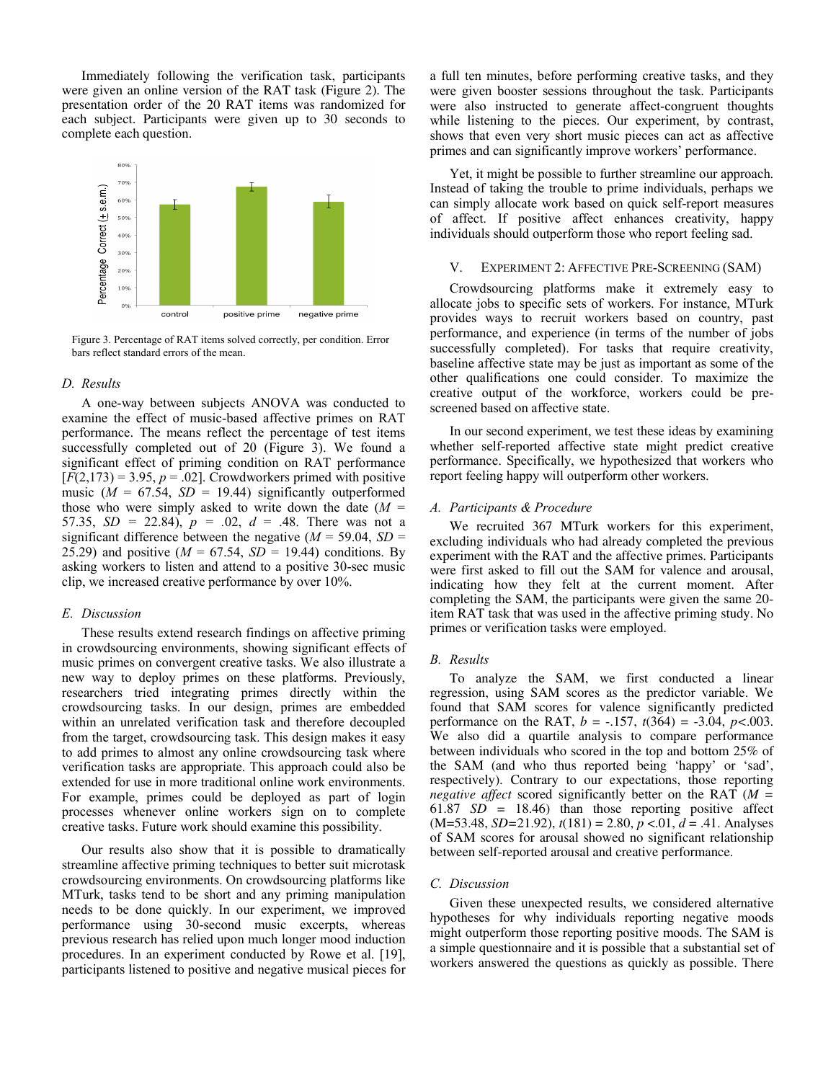Immediately following the verification task, participants were given an online version of the RAT task (Figure 2). The presentation order of the 20 RAT items was randomized for each subject. Participants were given up to 30 seconds to complete each question.



Figure 3. Percentage of RAT items solved correctly, per condition. Error bars reflect standard errors of the mean.

#### *D. Results*

A one-way between subjects ANOVA was conducted to examine the effect of music-based affective primes on RAT performance. The means reflect the percentage of test items successfully completed out of 20 (Figure 3). We found a significant effect of priming condition on RAT performance  $[F(2,173) = 3.95, p = .02]$ . Crowdworkers primed with positive music  $(M = 67.54, SD = 19.44)$  significantly outperformed those who were simply asked to write down the date (*M =*  57.35,  $SD = 22.84$ ,  $p = .02$ ,  $d = .48$ . There was not a significant difference between the negative  $(M = 59.04, SD =$ 25.29) and positive ( $M = 67.54$ ,  $SD = 19.44$ ) conditions. By asking workers to listen and attend to a positive 30-sec music clip, we increased creative performance by over 10%.

## *E. Discussion*

These results extend research findings on affective priming in crowdsourcing environments, showing significant effects of music primes on convergent creative tasks. We also illustrate a new way to deploy primes on these platforms. Previously, researchers tried integrating primes directly within the crowdsourcing tasks. In our design, primes are embedded within an unrelated verification task and therefore decoupled from the target, crowdsourcing task. This design makes it easy to add primes to almost any online crowdsourcing task where verification tasks are appropriate. This approach could also be extended for use in more traditional online work environments. For example, primes could be deployed as part of login processes whenever online workers sign on to complete creative tasks. Future work should examine this possibility.

Our results also show that it is possible to dramatically streamline affective priming techniques to better suit microtask crowdsourcing environments. On crowdsourcing platforms like MTurk, tasks tend to be short and any priming manipulation needs to be done quickly. In our experiment, we improved performance using 30-second music excerpts, whereas previous research has relied upon much longer mood induction procedures. In an experiment conducted by Rowe et al. [19], participants listened to positive and negative musical pieces for

a full ten minutes, before performing creative tasks, and they were given booster sessions throughout the task. Participants were also instructed to generate affect-congruent thoughts while listening to the pieces. Our experiment, by contrast, shows that even very short music pieces can act as affective primes and can significantly improve workers' performance.

Yet, it might be possible to further streamline our approach. Instead of taking the trouble to prime individuals, perhaps we can simply allocate work based on quick self-report measures of affect. If positive affect enhances creativity, happy individuals should outperform those who report feeling sad.

## V. EXPERIMENT 2: AFFECTIVE PRE-SCREENING (SAM)

Crowdsourcing platforms make it extremely easy to allocate jobs to specific sets of workers. For instance, MTurk provides ways to recruit workers based on country, past performance, and experience (in terms of the number of jobs successfully completed). For tasks that require creativity, baseline affective state may be just as important as some of the other qualifications one could consider. To maximize the creative output of the workforce, workers could be prescreened based on affective state.

In our second experiment, we test these ideas by examining whether self-reported affective state might predict creative performance. Specifically, we hypothesized that workers who report feeling happy will outperform other workers.

#### *A. Participants & Procedure*

We recruited 367 MTurk workers for this experiment, excluding individuals who had already completed the previous experiment with the RAT and the affective primes. Participants were first asked to fill out the SAM for valence and arousal, indicating how they felt at the current moment. After completing the SAM, the participants were given the same 20 item RAT task that was used in the affective priming study. No primes or verification tasks were employed.

#### *B. Results*

To analyze the SAM, we first conducted a linear regression, using SAM scores as the predictor variable. We found that SAM scores for valence significantly predicted performance on the RAT, *b* = -.157, *t*(364) = -3.04, *p<*.003. We also did a quartile analysis to compare performance between individuals who scored in the top and bottom 25% of the SAM (and who thus reported being 'happy' or 'sad', respectively). Contrary to our expectations, those reporting *negative affect* scored significantly better on the RAT (*M =*  61.87 *SD =* 18.46) than those reporting positive affect (M=53.48, *SD=*21.92), *t*(181) = 2.80, *p* <.01, *d* = .41. Analyses of SAM scores for arousal showed no significant relationship between self-reported arousal and creative performance.

#### *C. Discussion*

Given these unexpected results, we considered alternative hypotheses for why individuals reporting negative moods might outperform those reporting positive moods. The SAM is a simple questionnaire and it is possible that a substantial set of workers answered the questions as quickly as possible. There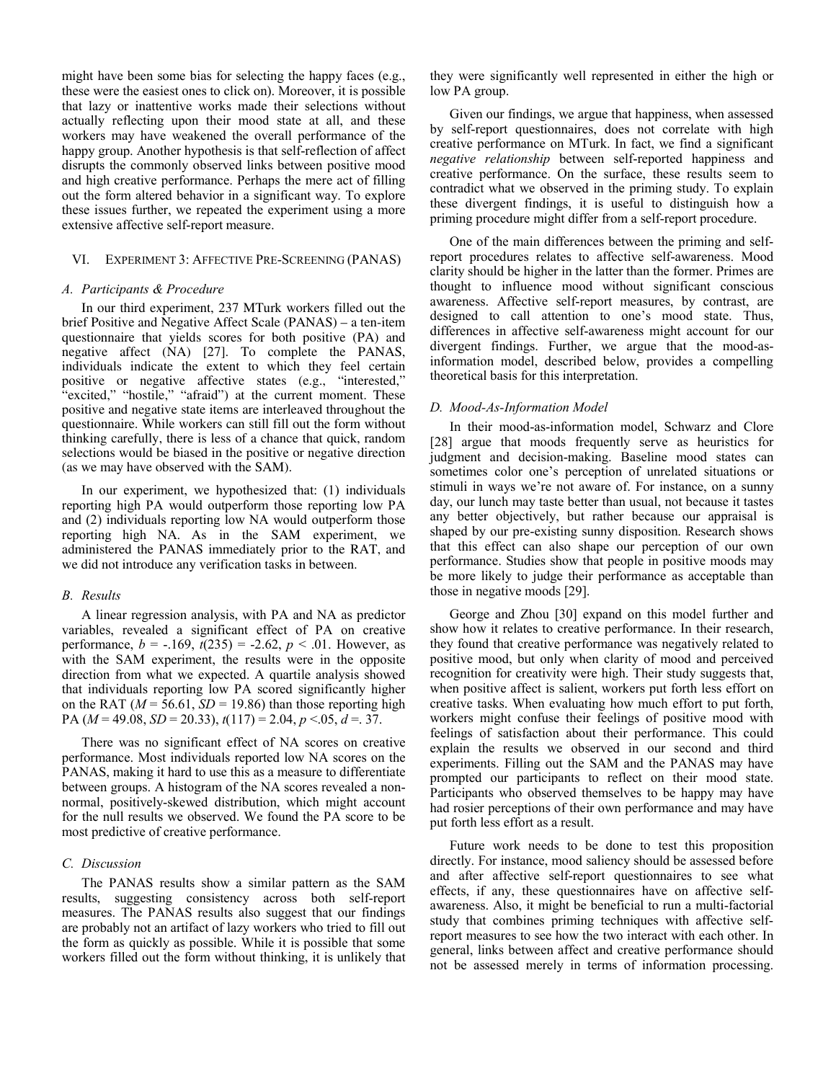might have been some bias for selecting the happy faces (e.g., these were the easiest ones to click on). Moreover, it is possible that lazy or inattentive works made their selections without actually reflecting upon their mood state at all, and these workers may have weakened the overall performance of the happy group. Another hypothesis is that self-reflection of affect disrupts the commonly observed links between positive mood and high creative performance. Perhaps the mere act of filling out the form altered behavior in a significant way. To explore these issues further, we repeated the experiment using a more extensive affective self-report measure.

#### VI. EXPERIMENT 3: AFFECTIVE PRE-SCREENING (PANAS)

#### *A. Participants & Procedure*

In our third experiment, 237 MTurk workers filled out the brief Positive and Negative Affect Scale (PANAS) – a ten-item questionnaire that yields scores for both positive (PA) and negative affect (NA) [27]. To complete the PANAS, individuals indicate the extent to which they feel certain positive or negative affective states (e.g., "interested," "excited," "hostile," "afraid") at the current moment. These positive and negative state items are interleaved throughout the questionnaire. While workers can still fill out the form without thinking carefully, there is less of a chance that quick, random selections would be biased in the positive or negative direction (as we may have observed with the SAM).

In our experiment, we hypothesized that: (1) individuals reporting high PA would outperform those reporting low PA and (2) individuals reporting low NA would outperform those reporting high NA. As in the SAM experiment, we administered the PANAS immediately prior to the RAT, and we did not introduce any verification tasks in between.

#### *B. Results*

A linear regression analysis, with PA and NA as predictor variables, revealed a significant effect of PA on creative performance,  $b = -169$ ,  $t(235) = -2.62$ ,  $p < .01$ . However, as with the SAM experiment, the results were in the opposite direction from what we expected. A quartile analysis showed that individuals reporting low PA scored significantly higher on the RAT  $(M = 56.61, SD = 19.86)$  than those reporting high PA (*M* = 49.08, *SD* = 20.33), *t*(117) = 2.04, *p* <.05, *d* =. 37.

There was no significant effect of NA scores on creative performance. Most individuals reported low NA scores on the PANAS, making it hard to use this as a measure to differentiate between groups. A histogram of the NA scores revealed a nonnormal, positively-skewed distribution, which might account for the null results we observed. We found the PA score to be most predictive of creative performance.

## *C. Discussion*

The PANAS results show a similar pattern as the SAM results, suggesting consistency across both self-report measures. The PANAS results also suggest that our findings are probably not an artifact of lazy workers who tried to fill out the form as quickly as possible. While it is possible that some workers filled out the form without thinking, it is unlikely that they were significantly well represented in either the high or low PA group.

Given our findings, we argue that happiness, when assessed by self-report questionnaires, does not correlate with high creative performance on MTurk. In fact, we find a significant *negative relationship* between self-reported happiness and creative performance. On the surface, these results seem to contradict what we observed in the priming study. To explain these divergent findings, it is useful to distinguish how a priming procedure might differ from a self-report procedure.

One of the main differences between the priming and selfreport procedures relates to affective self-awareness. Mood clarity should be higher in the latter than the former. Primes are thought to influence mood without significant conscious awareness. Affective self-report measures, by contrast, are designed to call attention to one's mood state. Thus, differences in affective self-awareness might account for our divergent findings. Further, we argue that the mood-asinformation model, described below, provides a compelling theoretical basis for this interpretation.

#### *D. Mood-As-Information Model*

In their mood-as-information model, Schwarz and Clore [28] argue that moods frequently serve as heuristics for judgment and decision-making. Baseline mood states can sometimes color one's perception of unrelated situations or stimuli in ways we're not aware of. For instance, on a sunny day, our lunch may taste better than usual, not because it tastes any better objectively, but rather because our appraisal is shaped by our pre-existing sunny disposition. Research shows that this effect can also shape our perception of our own performance. Studies show that people in positive moods may be more likely to judge their performance as acceptable than those in negative moods [29].

George and Zhou [30] expand on this model further and show how it relates to creative performance. In their research, they found that creative performance was negatively related to positive mood, but only when clarity of mood and perceived recognition for creativity were high. Their study suggests that, when positive affect is salient, workers put forth less effort on creative tasks. When evaluating how much effort to put forth, workers might confuse their feelings of positive mood with feelings of satisfaction about their performance. This could explain the results we observed in our second and third experiments. Filling out the SAM and the PANAS may have prompted our participants to reflect on their mood state. Participants who observed themselves to be happy may have had rosier perceptions of their own performance and may have put forth less effort as a result.

Future work needs to be done to test this proposition directly. For instance, mood saliency should be assessed before and after affective self-report questionnaires to see what effects, if any, these questionnaires have on affective selfawareness. Also, it might be beneficial to run a multi-factorial study that combines priming techniques with affective selfreport measures to see how the two interact with each other. In general, links between affect and creative performance should not be assessed merely in terms of information processing.